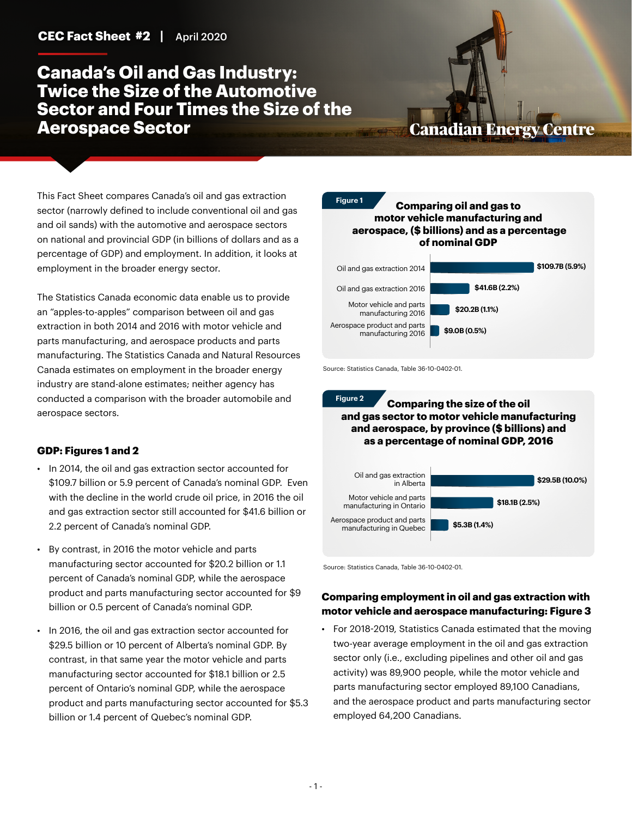## **Canada's Oil and Gas Industry: Twice the Size of the Automotive Sector and Four Times the Size of the Aerospace Sector**

# **Canadian Energy Centre**

This Fact Sheet compares Canada's oil and gas extraction sector (narrowly defined to include conventional oil and gas and oil sands) with the automotive and aerospace sectors on national and provincial GDP (in billions of dollars and as a percentage of GDP) and employment. In addition, it looks at employment in the broader energy sector.

The Statistics Canada economic data enable us to provide an "apples-to-apples" comparison between oil and gas extraction in both 2014 and 2016 with motor vehicle and parts manufacturing, and aerospace products and parts manufacturing. The Statistics Canada and Natural Resources Canada estimates on employment in the broader energy industry are stand-alone estimates; neither agency has conducted a comparison with the broader automobile and aerospace sectors.

### **GDP: Figures 1 and 2**

- In 2014, the oil and gas extraction sector accounted for \$109.7 billion or 5.9 percent of Canada's nominal GDP. Even with the decline in the world crude oil price, in 2016 the oil and gas extraction sector still accounted for \$41.6 billion or 2.2 percent of Canada's nominal GDP.
- By contrast, in 2016 the motor vehicle and parts manufacturing sector accounted for \$20.2 billion or 1.1 percent of Canada's nominal GDP, while the aerospace product and parts manufacturing sector accounted for \$9 billion or 0.5 percent of Canada's nominal GDP.
- In 2016, the oil and gas extraction sector accounted for \$29.5 billion or 10 percent of Alberta's nominal GDP. By contrast, in that same year the motor vehicle and parts manufacturing sector accounted for \$18.1 billion or 2.5 percent of Ontario's nominal GDP, while the aerospace product and parts manufacturing sector accounted for \$5.3 billion or 1.4 percent of Quebec's nominal GDP.



Source: Statistics Canada, Table 36-10-0402-01.

**Figure 2**

**Comparing the size of the oil and gas sector to motor vehicle manufacturing and aerospace, by province (\$ billions) and as a percentage of nominal GDP, 2016**



Source: Statistics Canada, Table 36-10-0402-01.

## **Comparing employment in oil and gas extraction with motor vehicle and aerospace manufacturing: Figure 3**

• For 2018-2019, Statistics Canada estimated that the moving two-year average employment in the oil and gas extraction sector only (i.e., excluding pipelines and other oil and gas activity) was 89,900 people, while the motor vehicle and parts manufacturing sector employed 89,100 Canadians, and the aerospace product and parts manufacturing sector employed 64,200 Canadians.